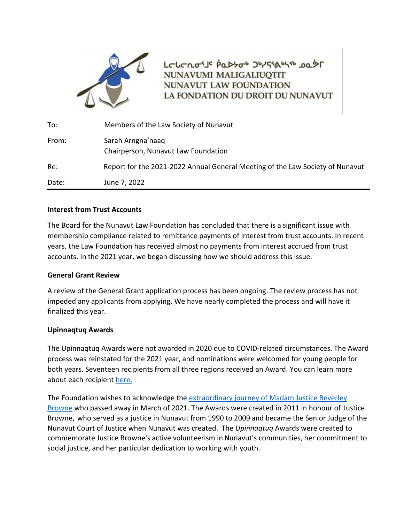

LCLCLOSS PLDSON JOYSSANS DLOF NUNAVUMI MALIGALIUQTIT **NUNAVUT LAW FOUNDATION** LA FONDATION DU DROIT DU NUNAVUT

| To:   | Members of the Law Society of Nunavut                                         |
|-------|-------------------------------------------------------------------------------|
| From: | Sarah Arngna'naaq<br>Chairperson, Nunavut Law Foundation                      |
| Re:   | Report for the 2021-2022 Annual General Meeting of the Law Society of Nunavut |
| Date: | June 7, 2022                                                                  |

## **Interest from Trust Accounts**

The Board for the Nunavut Law Foundation has concluded that there is a significant issue with membership compliance related to remittance payments of interest from trust accounts. In recent years, the Law Foundation has received almost no payments from interest accrued from trust accounts. In the 2021 year, we began discussing how we should address this issue.

## **General Grant Review**

A review of the General Grant application process has been ongoing. The review process has not impeded any applicants from applying. We have nearly completed the process and will have it finalized this year.

## **Upinnaqtuq Awards**

The Upinnaqtuq Awards were not awarded in 2020 due to COVID-related circumstances. The Award process was reinstated for the 2021 year, and nominations were welcomed for young people for both years. Seventeen recipients from all three regions received an Award. You can learn more about each recipient here.

The Foundation wishes to acknowledge the extraordinary journey of Madam Justice Beverley Browne who passed away in March of 2021. The Awards were created in 2011 in honour of Justice Browne, who served as a justice in Nunavut from 1990 to 2009 and became the Senior Judge of the Nunavut Court of Justice when Nunavut was created. The *Upinnaqtuq* Awards were created to commemorate Justice Browne's active volunteerism in Nunavut's communities, her commitment to social justice, and her particular dedication to working with youth.